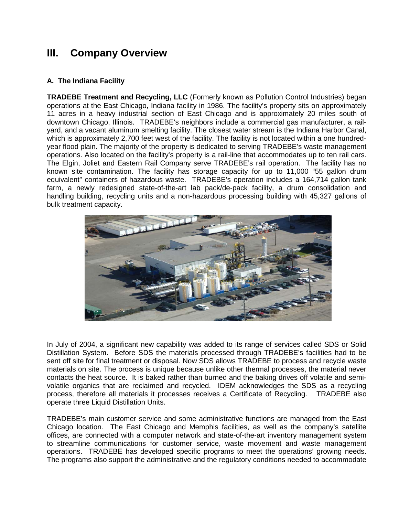# **III. Company Overview**

### **A. The Indiana Facility**

**TRADEBE Treatment and Recycling, LLC** (Formerly known as Pollution Control Industries) began operations at the East Chicago, Indiana facility in 1986. The facility's property sits on approximately 11 acres in a heavy industrial section of East Chicago and is approximately 20 miles south of downtown Chicago, Illinois. TRADEBE's neighbors include a commercial gas manufacturer, a railyard, and a vacant aluminum smelting facility. The closest water stream is the Indiana Harbor Canal, which is approximately 2,700 feet west of the facility. The facility is not located within a one hundredyear flood plain. The majority of the property is dedicated to serving TRADEBE's waste management operations. Also located on the facility's property is a rail-line that accommodates up to ten rail cars. The Elgin, Joliet and Eastern Rail Company serve TRADEBE's rail operation. The facility has no known site contamination. The facility has storage capacity for up to 11,000 "55 gallon drum equivalent" containers of hazardous waste. TRADEBE's operation includes a 164,714 gallon tank farm, a newly redesigned state-of-the-art lab pack/de-pack facility, a drum consolidation and handling building, recycling units and a non-hazardous processing building with 45,327 gallons of bulk treatment capacity.



In July of 2004, a significant new capability was added to its range of services called SDS or Solid Distillation System. Before SDS the materials processed through TRADEBE's facilities had to be sent off site for final treatment or disposal. Now SDS allows TRADEBE to process and recycle waste materials on site. The process is unique because unlike other thermal processes, the material never contacts the heat source. It is baked rather than burned and the baking drives off volatile and semivolatile organics that are reclaimed and recycled. IDEM acknowledges the SDS as a recycling process, therefore all materials it processes receives a Certificate of Recycling. TRADEBE also operate three Liquid Distillation Units.

TRADEBE's main customer service and some administrative functions are managed from the East Chicago location. The East Chicago and Memphis facilities, as well as the company's satellite offices, are connected with a computer network and state-of-the-art inventory management system to streamline communications for customer service, waste movement and waste management operations. TRADEBE has developed specific programs to meet the operations' growing needs. The programs also support the administrative and the regulatory conditions needed to accommodate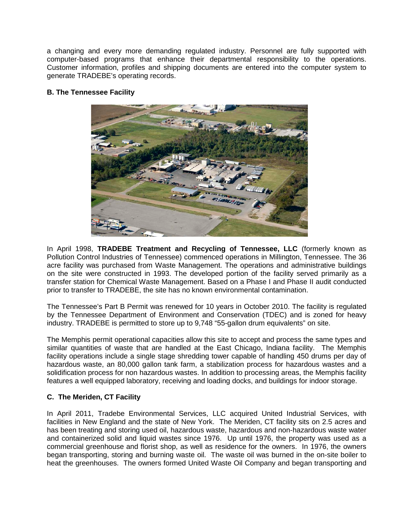a changing and every more demanding regulated industry. Personnel are fully supported with computer-based programs that enhance their departmental responsibility to the operations. Customer information, profiles and shipping documents are entered into the computer system to generate TRADEBE's operating records.

#### **B. The Tennessee Facility**



In April 1998, **TRADEBE Treatment and Recycling of Tennessee, LLC** (formerly known as Pollution Control Industries of Tennessee) commenced operations in Millington, Tennessee. The 36 acre facility was purchased from Waste Management. The operations and administrative buildings on the site were constructed in 1993. The developed portion of the facility served primarily as a transfer station for Chemical Waste Management. Based on a Phase I and Phase II audit conducted prior to transfer to TRADEBE, the site has no known environmental contamination.

The Tennessee's Part B Permit was renewed for 10 years in October 2010. The facility is regulated by the Tennessee Department of Environment and Conservation (TDEC) and is zoned for heavy industry. TRADEBE is permitted to store up to 9,748 "55-gallon drum equivalents" on site.

The Memphis permit operational capacities allow this site to accept and process the same types and similar quantities of waste that are handled at the East Chicago, Indiana facility. The Memphis facility operations include a single stage shredding tower capable of handling 450 drums per day of hazardous waste, an 80,000 gallon tank farm, a stabilization process for hazardous wastes and a solidification process for non hazardous wastes. In addition to processing areas, the Memphis facility features a well equipped laboratory, receiving and loading docks, and buildings for indoor storage.

### **C. The Meriden, CT Facility**

In April 2011, Tradebe Environmental Services, LLC acquired United Industrial Services, with facilities in New England and the state of New York. The Meriden, CT facility sits on 2.5 acres and has been treating and storing used oil, hazardous waste, hazardous and non-hazardous waste water and containerized solid and liquid wastes since 1976. Up until 1976, the property was used as a commercial greenhouse and florist shop, as well as residence for the owners. In 1976, the owners began transporting, storing and burning waste oil. The waste oil was burned in the on-site boiler to heat the greenhouses. The owners formed United Waste Oil Company and began transporting and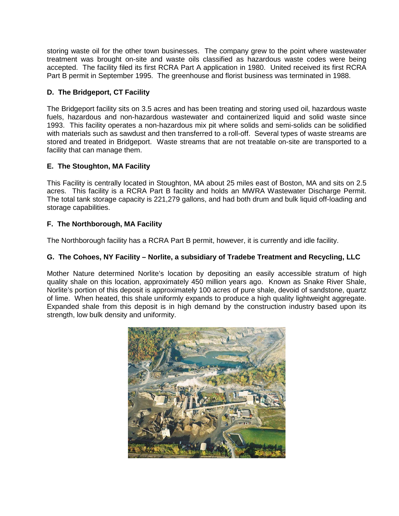storing waste oil for the other town businesses. The company grew to the point where wastewater treatment was brought on-site and waste oils classified as hazardous waste codes were being accepted. The facility filed its first RCRA Part A application in 1980. United received its first RCRA Part B permit in September 1995. The greenhouse and florist business was terminated in 1988.

## **D. The Bridgeport, CT Facility**

The Bridgeport facility sits on 3.5 acres and has been treating and storing used oil, hazardous waste fuels, hazardous and non-hazardous wastewater and containerized liquid and solid waste since 1993. This facility operates a non-hazardous mix pit where solids and semi-solids can be solidified with materials such as sawdust and then transferred to a roll-off. Several types of waste streams are stored and treated in Bridgeport. Waste streams that are not treatable on-site are transported to a facility that can manage them.

## **E. The Stoughton, MA Facility**

This Facility is centrally located in Stoughton, MA about 25 miles east of Boston, MA and sits on 2.5 acres. This facility is a RCRA Part B facility and holds an MWRA Wastewater Discharge Permit. The total tank storage capacity is 221,279 gallons, and had both drum and bulk liquid off-loading and storage capabilities.

## **F. The Northborough, MA Facility**

The Northborough facility has a RCRA Part B permit, however, it is currently and idle facility.

### **G. The Cohoes, NY Facility – Norlite, a subsidiary of Tradebe Treatment and Recycling, LLC**

Mother Nature determined Norlite's location by depositing an easily accessible stratum of high quality shale on this location, approximately 450 million years ago. Known as Snake River Shale, Norlite's portion of this deposit is approximately 100 acres of pure shale, devoid of sandstone, quartz of lime. When heated, this shale uniformly expands to produce a high quality lightweight aggregate. Expanded shale from this deposit is in high demand by the construction industry based upon its strength, low bulk density and uniformity.